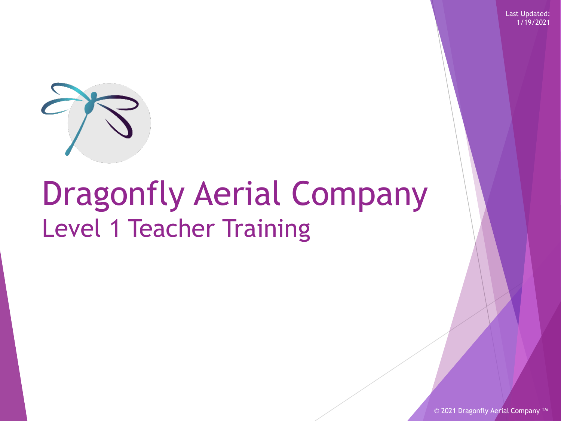Last Updated: 1/19/2021



# Dragonfly Aerial Company Level 1 Teacher Training

© 2021 Dragonfly Aerial Company<sup>TM</sup>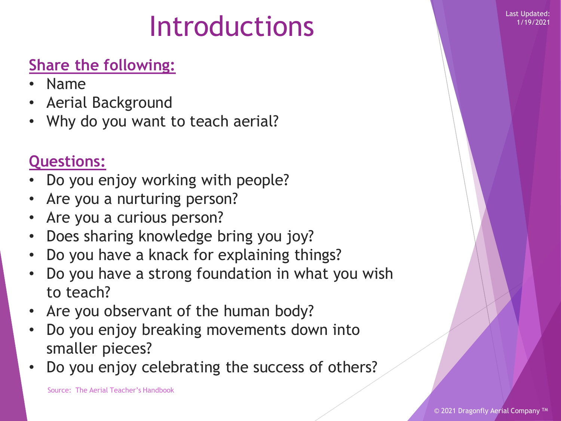1/19/2021

# Introductions

### **Share the following:**

- Name
- Aerial Background
- Why do you want to teach aerial?

### **Questions:**

- Do you enjoy working with people?
- Are you a nurturing person?
- Are you a curious person?
- Does sharing knowledge bring you joy?
- Do you have a knack for explaining things?
- Do you have a strong foundation in what you wish to teach?
- Are you observant of the human body?
- Do you enjoy breaking movements down into smaller pieces?
- Do you enjoy celebrating the success of others?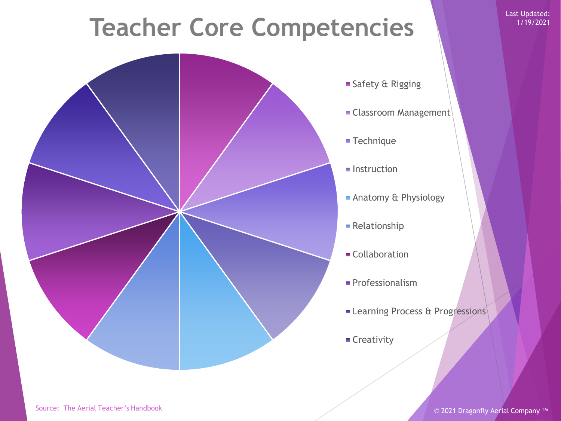### **Teacher Core Competencies**



- Safety & Rigging
- **Classroom Management**
- **Technique**
- $\blacksquare$  Instruction
- **Anatomy & Physiology**
- **Relationship**
- **Collaboration**
- Professionalism
- **ELearning Process & Progressions**
- **Creativity**

Last Updated: 1/19/2021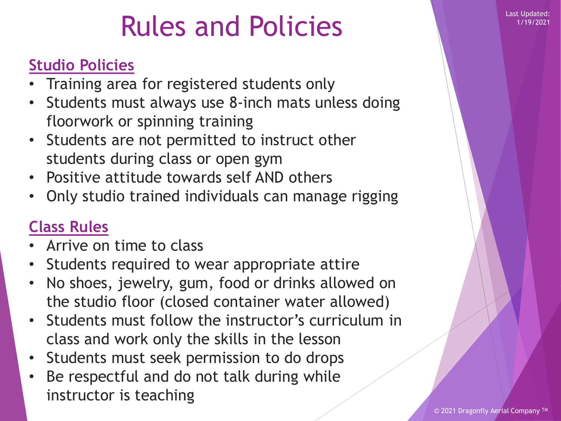### **Rules and Policies**

### **Studio Policies**

- Training area for registered students only
- Students must always use 8-inch mats unless doing floorwork or spinning training
- Students are not permitted to instruct other students during class or open gym
- Positive attitude towards self AND others
- Only studio trained individuals can manage rigging

### **Class Rules**

- Arrive on time to class
- Students required to wear appropriate attire
- No shoes, jewelry, gum, food or drinks allowed on the studio floor (closed container water allowed)
- Students must follow the instructor's curriculum in class and work only the skills in the lesson
- Students must seek permission to do drops
- Be respectful and do not talk during while instructor is teaching

1/19/2021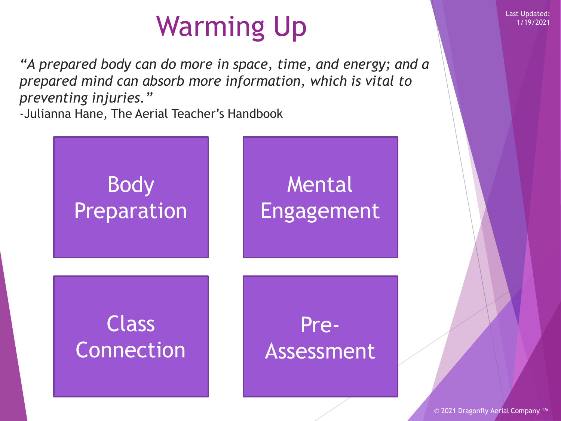# Warming Up **Last Updated:**

*"A prepared body can do more in space, time, and energy; and a prepared mind can absorb more information, which is vital to preventing injuries."* 

-Julianna Hane, The Aerial Teacher's Handbook



1/19/2021

© 2021 Dragonfly Aerial Company<sup>TM</sup>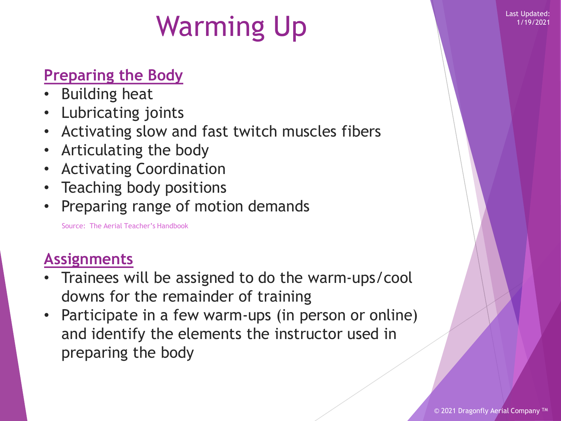1/19/2021

# Warming Up **Last Updated:**

### **Preparing the Body**

- Building heat
- Lubricating joints
- Activating slow and fast twitch muscles fibers
- Articulating the body
- Activating Coordination
- Teaching body positions
- Preparing range of motion demands

Source: The Aerial Teacher's Handbook

### **Assignments**

- Trainees will be assigned to do the warm-ups/cool downs for the remainder of training
- Participate in a few warm-ups (in person or online) and identify the elements the instructor used in preparing the body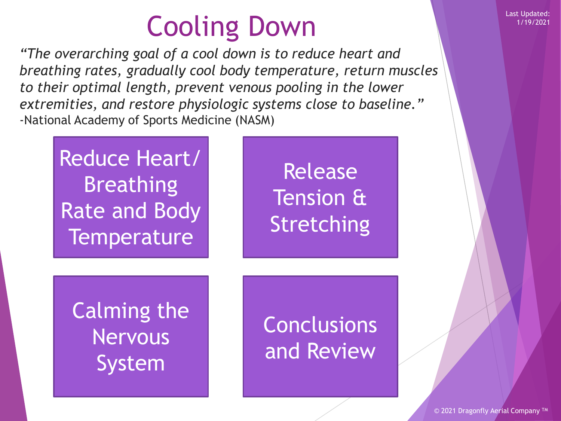# Cooling Down Last Updated:

*"The overarching goal of a cool down is to reduce heart and breathing rates, gradually cool body temperature, return muscles to their optimal length, prevent venous pooling in the lower extremities, and restore physiologic systems close to baseline."* -National Academy of Sports Medicine (NASM)

Reduce Heart/ **Breathing** Rate and Body **Temperature** 

Release Tension & **Stretching** 

Calming the Nervous System

Conclusions and Review

© 2021 Dragonfly Aerial Company ™

1/19/2021